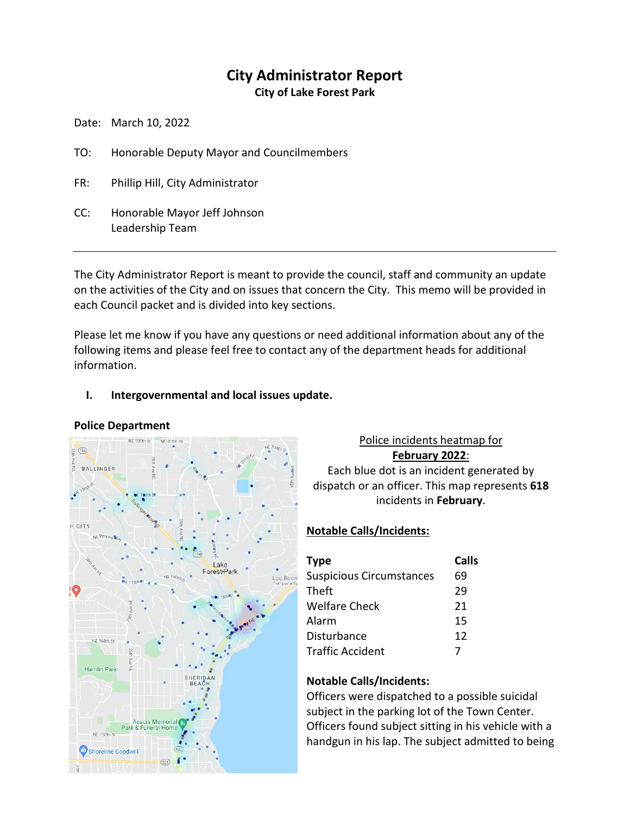# **City Administrator Report**

**City of Lake Forest Park**

Date: March 10, 2022

- TO: Honorable Deputy Mayor and Councilmembers
- FR: Phillip Hill, City Administrator
- CC: Honorable Mayor Jeff Johnson Leadership Team

The City Administrator Report is meant to provide the council, staff and community an update on the activities of the City and on issues that concern the City. This memo will be provided in each Council packet and is divided into key sections.

Please let me know if you have any questions or need additional information about any of the following items and please feel free to contact any of the department heads for additional information.

#### **I. Intergovernmental and local issues update.**



# Police incidents heatmap for **February 2022**:

Each blue dot is an incident generated by dispatch or an officer. This map represents **618** incidents in **February**.

# **Notable Calls/Incidents:**

| <b>Type</b>                     | Calls |
|---------------------------------|-------|
| <b>Suspicious Circumstances</b> | 69    |
| <b>Theft</b>                    | 29    |
| <b>Welfare Check</b>            | 21    |
| Alarm                           | 15    |
| Disturbance                     | 12    |
| <b>Traffic Accident</b>         |       |

# **Notable Calls/Incidents:**

Officers were dispatched to a possible suicidal subject in the parking lot of the Town Center. Officers found subject sitting in his vehicle with a handgun in his lap. The subject admitted to being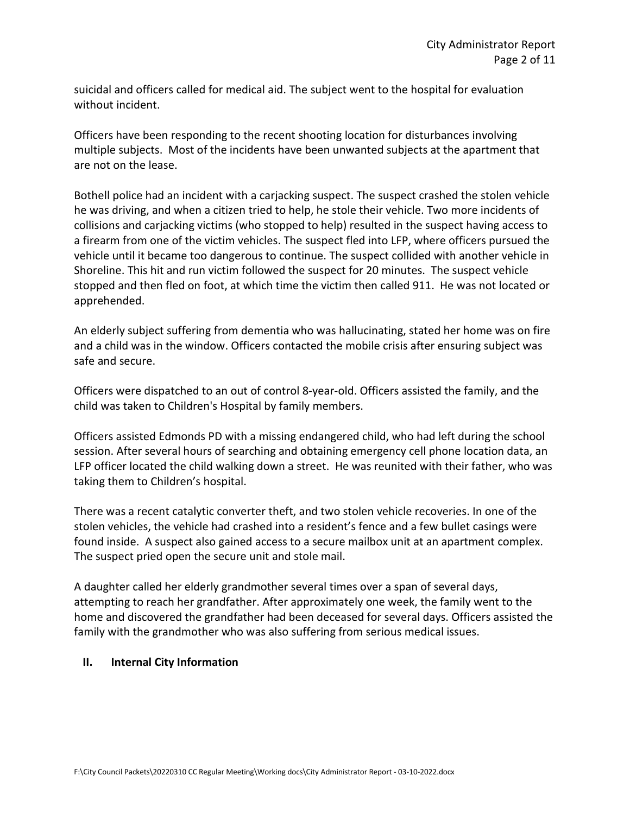suicidal and officers called for medical aid. The subject went to the hospital for evaluation without incident.

Officers have been responding to the recent shooting location for disturbances involving multiple subjects. Most of the incidents have been unwanted subjects at the apartment that are not on the lease.

Bothell police had an incident with a carjacking suspect. The suspect crashed the stolen vehicle he was driving, and when a citizen tried to help, he stole their vehicle. Two more incidents of collisions and carjacking victims (who stopped to help) resulted in the suspect having access to a firearm from one of the victim vehicles. The suspect fled into LFP, where officers pursued the vehicle until it became too dangerous to continue. The suspect collided with another vehicle in Shoreline. This hit and run victim followed the suspect for 20 minutes. The suspect vehicle stopped and then fled on foot, at which time the victim then called 911. He was not located or apprehended.

An elderly subject suffering from dementia who was hallucinating, stated her home was on fire and a child was in the window. Officers contacted the mobile crisis after ensuring subject was safe and secure.

Officers were dispatched to an out of control 8-year-old. Officers assisted the family, and the child was taken to Children's Hospital by family members.

Officers assisted Edmonds PD with a missing endangered child, who had left during the school session. After several hours of searching and obtaining emergency cell phone location data, an LFP officer located the child walking down a street. He was reunited with their father, who was taking them to Children's hospital.

There was a recent catalytic converter theft, and two stolen vehicle recoveries. In one of the stolen vehicles, the vehicle had crashed into a resident's fence and a few bullet casings were found inside. A suspect also gained access to a secure mailbox unit at an apartment complex. The suspect pried open the secure unit and stole mail.

A daughter called her elderly grandmother several times over a span of several days, attempting to reach her grandfather. After approximately one week, the family went to the home and discovered the grandfather had been deceased for several days. Officers assisted the family with the grandmother who was also suffering from serious medical issues.

#### **II. Internal City Information**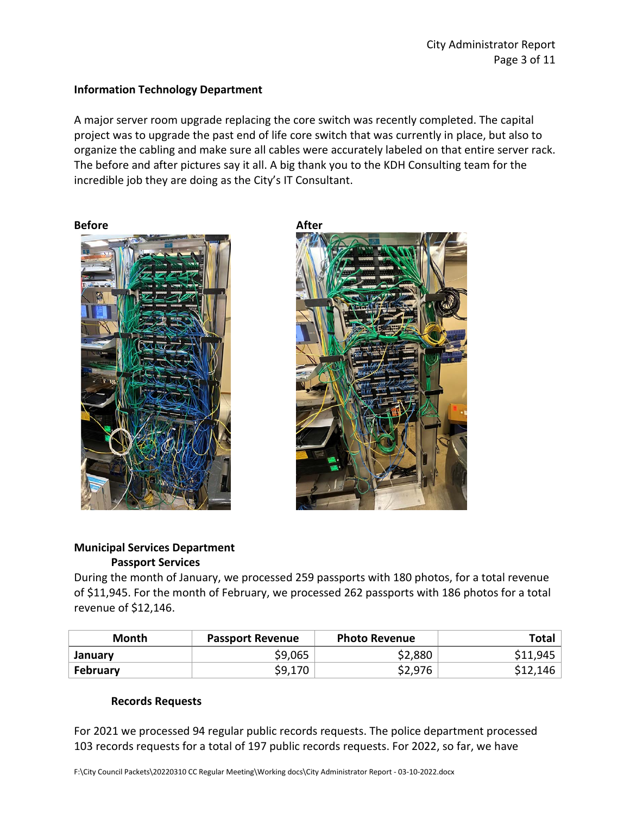#### **Information Technology Department**

A major server room upgrade replacing the core switch was recently completed. The capital project was to upgrade the past end of life core switch that was currently in place, but also to organize the cabling and make sure all cables were accurately labeled on that entire server rack. The before and after pictures say it all. A big thank you to the KDH Consulting team for the incredible job they are doing as the City's IT Consultant.





# **Municipal Services Department Passport Services**

During the month of January, we processed 259 passports with 180 photos, for a total revenue of \$11,945. For the month of February, we processed 262 passports with 186 photos for a total revenue of \$12,146.

| Month           | <b>Passport Revenue</b> | <b>Photo Revenue</b> | Total    |
|-----------------|-------------------------|----------------------|----------|
| January         | \$9,065                 | \$2,880              | \$11,945 |
| <b>February</b> | \$9,170                 | \$2,976              | \$12,146 |

# **Records Requests**

For 2021 we processed 94 regular public records requests. The police department processed 103 records requests for a total of 197 public records requests. For 2022, so far, we have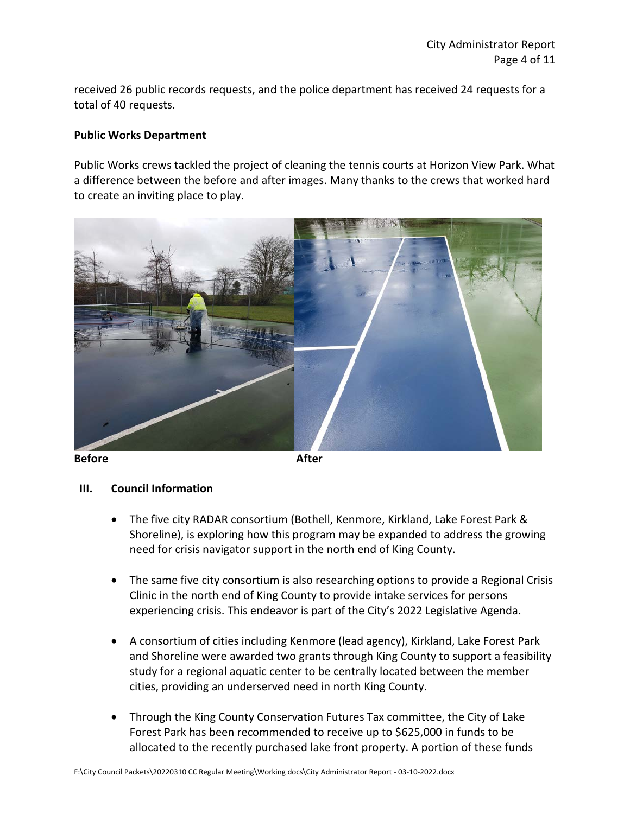received 26 public records requests, and the police department has received 24 requests for a total of 40 requests.

#### **Public Works Department**

Public Works crews tackled the project of cleaning the tennis courts at Horizon View Park. What a difference between the before and after images. Many thanks to the crews that worked hard to create an inviting place to play.



**Before After**

#### **III. Council Information**

- The five city RADAR consortium (Bothell, Kenmore, Kirkland, Lake Forest Park & Shoreline), is exploring how this program may be expanded to address the growing need for crisis navigator support in the north end of King County.
- The same five city consortium is also researching options to provide a Regional Crisis Clinic in the north end of King County to provide intake services for persons experiencing crisis. This endeavor is part of the City's 2022 Legislative Agenda.
- A consortium of cities including Kenmore (lead agency), Kirkland, Lake Forest Park and Shoreline were awarded two grants through King County to support a feasibility study for a regional aquatic center to be centrally located between the member cities, providing an underserved need in north King County.
- Through the King County Conservation Futures Tax committee, the City of Lake Forest Park has been recommended to receive up to \$625,000 in funds to be allocated to the recently purchased lake front property. A portion of these funds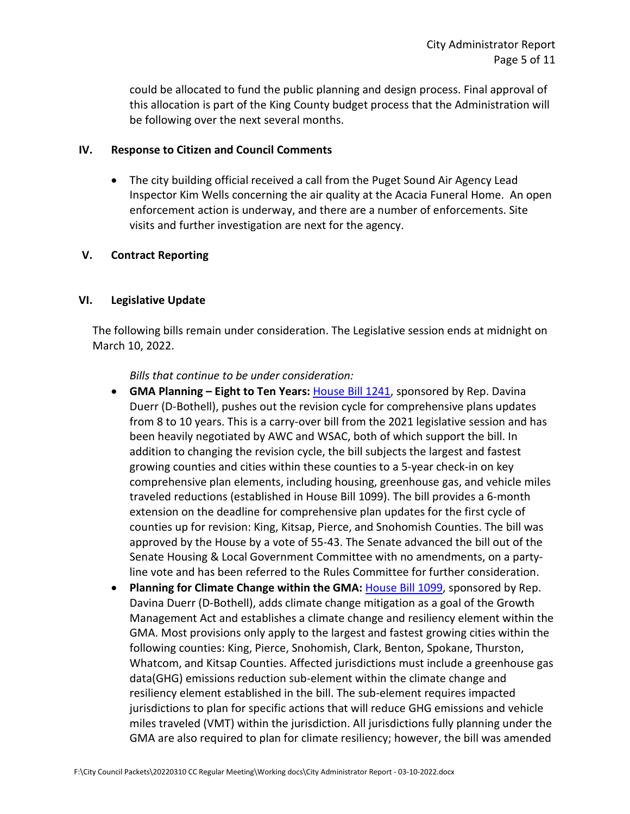could be allocated to fund the public planning and design process. Final approval of this allocation is part of the King County budget process that the Administration will be following over the next several months.

#### **IV. Response to Citizen and Council Comments**

• The city building official received a call from the Puget Sound Air Agency Lead Inspector Kim Wells concerning the air quality at the Acacia Funeral Home. An open enforcement action is underway, and there are a number of enforcements. Site visits and further investigation are next for the agency.

#### **V. Contract Reporting**

#### **VI. Legislative Update**

The following bills remain under consideration. The Legislative session ends at midnight on March 10, 2022.

*Bills that continue to be under consideration:*

- **GMA Planning – Eight to Ten Years:** [House Bill 1241,](https://app.leg.wa.gov/billsummary?BillNumber=1241&Initiative=false&Year=2021) sponsored by Rep. Davina Duerr (D-Bothell), pushes out the revision cycle for comprehensive plans updates from 8 to 10 years. This is a carry-over bill from the 2021 legislative session and has been heavily negotiated by AWC and WSAC, both of which support the bill. In addition to changing the revision cycle, the bill subjects the largest and fastest growing counties and cities within these counties to a 5-year check-in on key comprehensive plan elements, including housing, greenhouse gas, and vehicle miles traveled reductions (established in House Bill 1099). The bill provides a 6-month extension on the deadline for comprehensive plan updates for the first cycle of counties up for revision: King, Kitsap, Pierce, and Snohomish Counties. The bill was approved by the House by a vote of 55-43. The Senate advanced the bill out of the Senate Housing & Local Government Committee with no amendments, on a partyline vote and has been referred to the Rules Committee for further consideration.
- **Planning for Climate Change within the GMA:** [House Bill 1099,](https://app.leg.wa.gov/billsummary?BillNumber=1099&Initiative=false&Year=2021) sponsored by Rep. Davina Duerr (D-Bothell), adds climate change mitigation as a goal of the Growth Management Act and establishes a climate change and resiliency element within the GMA. Most provisions only apply to the largest and fastest growing cities within the following counties: King, Pierce, Snohomish, Clark, Benton, Spokane, Thurston, Whatcom, and Kitsap Counties. Affected jurisdictions must include a greenhouse gas data(GHG) emissions reduction sub-element within the climate change and resiliency element established in the bill. The sub-element requires impacted jurisdictions to plan for specific actions that will reduce GHG emissions and vehicle miles traveled (VMT) within the jurisdiction. All jurisdictions fully planning under the GMA are also required to plan for climate resiliency; however, the bill was amended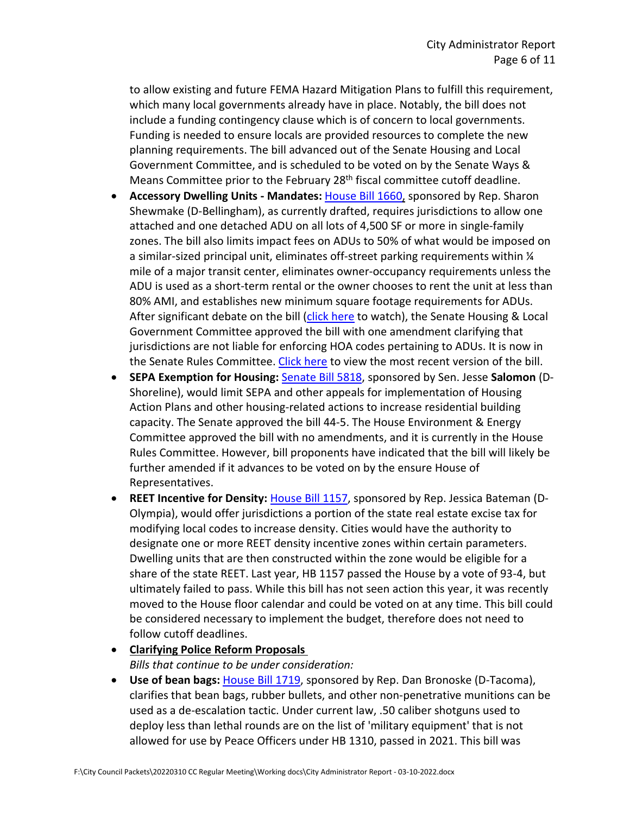to allow existing and future FEMA Hazard Mitigation Plans to fulfill this requirement, which many local governments already have in place. Notably, the bill does not include a funding contingency clause which is of concern to local governments. Funding is needed to ensure locals are provided resources to complete the new planning requirements. The bill advanced out of the Senate Housing and Local Government Committee, and is scheduled to be voted on by the Senate Ways & Means Committee prior to the February 28<sup>th</sup> fiscal committee cutoff deadline.

- **Accessory Dwelling Units - Mandates:** [House Bill 1660,](https://app.leg.wa.gov/committeeschedules/Home/Document/238545#toolbar=0&navpanes=0) sponsored by Rep. Sharon Shewmake (D-Bellingham), as currently drafted, requires jurisdictions to allow one attached and one detached ADU on all lots of 4,500 SF or more in single-family zones. The bill also limits impact fees on ADUs to 50% of what would be imposed on a similar-sized principal unit, eliminates off-street parking requirements within  $\frac{1}{4}$ mile of a major transit center, eliminates owner-occupancy requirements unless the ADU is used as a short-term rental or the owner chooses to rent the unit at less than 80% AMI, and establishes new minimum square footage requirements for ADUs. After significant debate on the bill [\(click here](https://www.tvw.org/watch/?clientID=9375922947&eventID=2022021361&startStreamAt=2806&stopStreamAt=4365) to watch), the Senate Housing & Local Government Committee approved the bill with one amendment clarifying that jurisdictions are not liable for enforcing HOA codes pertaining to ADUs. It is now in the Senate Rules Committee. [Click here](https://lawfilesext.leg.wa.gov/biennium/2021-22/Pdf/Amendments/Senate/1660-S.E%20AMS%20HLG%20S4928.1.pdf) to view the most recent version of the bill.
- **SEPA Exemption for Housing:** [Senate Bill 5818,](https://app.leg.wa.gov/billsummary?BillNumber=5818&Initiative=false&Year=2021) sponsored by Sen. Jesse **Salomon** (D-Shoreline), would limit SEPA and other appeals for implementation of Housing Action Plans and other housing-related actions to increase residential building capacity. The Senate approved the bill 44-5. The House Environment & Energy Committee approved the bill with no amendments, and it is currently in the House Rules Committee. However, bill proponents have indicated that the bill will likely be further amended if it advances to be voted on by the ensure House of Representatives.
- **REET Incentive for Density:** [House Bill 1157,](https://app.leg.wa.gov/billsummary?BillNumber=1157&Initiative=false&Year=2021) sponsored by Rep. Jessica Bateman (D-Olympia), would offer jurisdictions a portion of the state real estate excise tax for modifying local codes to increase density. Cities would have the authority to designate one or more REET density incentive zones within certain parameters. Dwelling units that are then constructed within the zone would be eligible for a share of the state REET. Last year, HB 1157 passed the House by a vote of 93-4, but ultimately failed to pass. While this bill has not seen action this year, it was recently moved to the House floor calendar and could be voted on at any time. This bill could be considered necessary to implement the budget, therefore does not need to follow cutoff deadlines.

# • **Clarifying Police Reform Proposals**

*Bills that continue to be under consideration:*

• **Use of bean bags:** [House Bill 1719,](https://app.leg.wa.gov/billsummary?BillNumber=1719&Year=2021&Initiative=false) sponsored by Rep. Dan Bronoske (D-Tacoma), clarifies that bean bags, rubber bullets, and other non-penetrative munitions can be used as a de-escalation tactic. Under current law, .50 caliber shotguns used to deploy less than lethal rounds are on the list of 'military equipment' that is not allowed for use by Peace Officers under HB 1310, passed in 2021. This bill was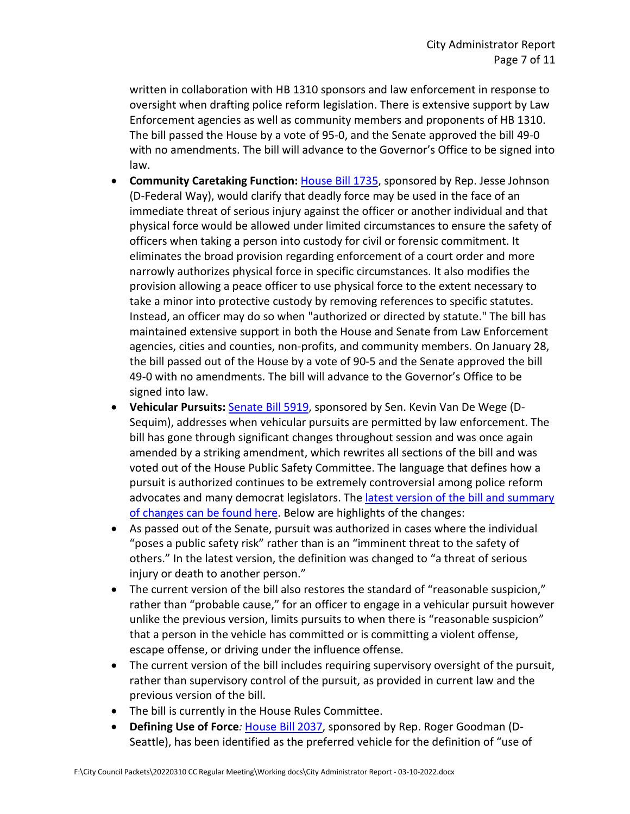written in collaboration with HB 1310 sponsors and law enforcement in response to oversight when drafting police reform legislation. There is extensive support by Law Enforcement agencies as well as community members and proponents of HB 1310. The bill passed the House by a vote of 95-0, and the Senate approved the bill 49-0 with no amendments. The bill will advance to the Governor's Office to be signed into law.

- **Community Caretaking Function:** [House Bill 1735,](https://app.leg.wa.gov/billsummary?BillNumber=1735&Initiative=false&Year=2021) sponsored by Rep. Jesse Johnson (D-Federal Way), would clarify that deadly force may be used in the face of an immediate threat of serious injury against the officer or another individual and that physical force would be allowed under limited circumstances to ensure the safety of officers when taking a person into custody for civil or forensic commitment. It eliminates the broad provision regarding enforcement of a court order and more narrowly authorizes physical force in specific circumstances. It also modifies the provision allowing a peace officer to use physical force to the extent necessary to take a minor into protective custody by removing references to specific statutes. Instead, an officer may do so when "authorized or directed by statute." The bill has maintained extensive support in both the House and Senate from Law Enforcement agencies, cities and counties, non-profits, and community members. On January 28, the bill passed out of the House by a vote of 90-5 and the Senate approved the bill 49-0 with no amendments. The bill will advance to the Governor's Office to be signed into law.
- **Vehicular Pursuits:** [Senate Bill 5919,](https://lawfilesext.leg.wa.gov/biennium/2021-22/Pdf/Bills/Senate%20Bills/5919-S.pdf?q=20220204130136) sponsored by Sen. Kevin Van De Wege (D-Sequim), addresses when vehicular pursuits are permitted by law enforcement. The bill has gone through significant changes throughout session and was once again amended by a striking amendment, which rewrites all sections of the bill and was voted out of the House Public Safety Committee. The language that defines how a pursuit is authorized continues to be extremely controversial among police reform advocates and many democrat legislators. The latest version of the bill and summary [of changes can be found here.](https://app.leg.wa.gov/committeeschedules/Home/Document/243789#toolbar=0&navpanes=0) Below are highlights of the changes:
- As passed out of the Senate, pursuit was authorized in cases where the individual "poses a public safety risk" rather than is an "imminent threat to the safety of others." In the latest version, the definition was changed to "a threat of serious injury or death to another person."
- The current version of the bill also restores the standard of "reasonable suspicion," rather than "probable cause," for an officer to engage in a vehicular pursuit however unlike the previous version, limits pursuits to when there is "reasonable suspicion" that a person in the vehicle has committed or is committing a violent offense, escape offense, or driving under the influence offense.
- The current version of the bill includes requiring supervisory oversight of the pursuit, rather than supervisory control of the pursuit, as provided in current law and the previous version of the bill.
- The bill is currently in the House Rules Committee.
- **Defining Use of Force***:* [House Bill 2037,](https://app.leg.wa.gov/billsummary?BillNumber=2037&Initiative=false&Year=2021) sponsored by Rep. Roger Goodman (D-Seattle), has been identified as the preferred vehicle for the definition of "use of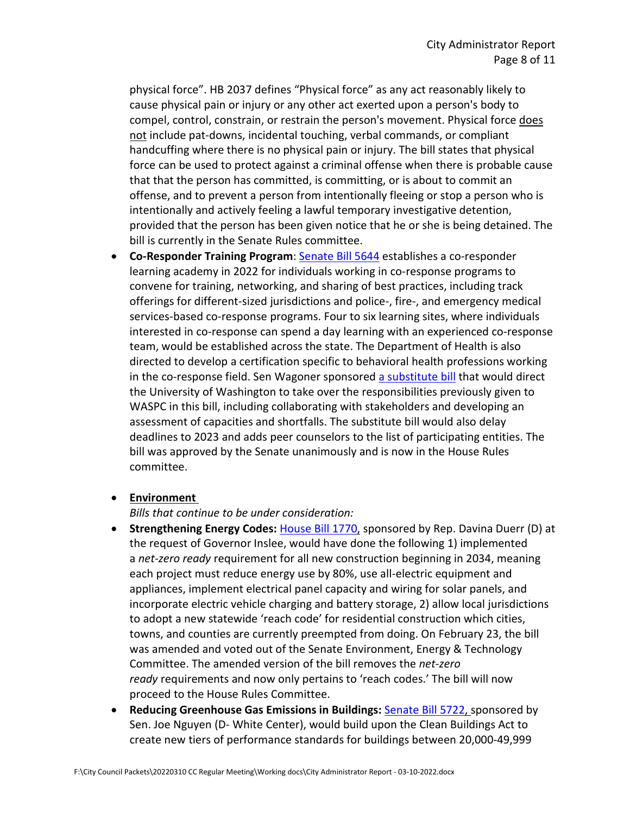physical force". HB 2037 defines "Physical force" as any act reasonably likely to cause physical pain or injury or any other act exerted upon a person's body to compel, control, constrain, or restrain the person's movement. Physical force does not include pat-downs, incidental touching, verbal commands, or compliant handcuffing where there is no physical pain or injury. The bill states that physical force can be used to protect against a criminal offense when there is probable cause that that the person has committed, is committing, or is about to commit an offense, and to prevent a person from intentionally fleeing or stop a person who is intentionally and actively feeling a lawful temporary investigative detention, provided that the person has been given notice that he or she is being detained. The bill is currently in the Senate Rules committee.

• **Co-Responder Training Program**: [Senate Bill 5644](https://lawfilesext.leg.wa.gov/biennium/2021-22/Pdf/Bills/Senate%20Bills/5644-S.pdf?q=20220209081112) establishes a co-responder learning academy in 2022 for individuals working in co-response programs to convene for training, networking, and sharing of best practices, including track offerings for different-sized jurisdictions and police-, fire-, and emergency medical services-based co-response programs. Four to six learning sites, where individuals interested in co-response can spend a day learning with an experienced co-response team, would be established across the state. The Department of Health is also directed to develop a certification specific to behavioral health professions working in the co-response field. Sen Wagoner sponsored [a substitute bill](https://app.leg.wa.gov/committeeschedules/Home/Document/239840#toolbar=0&navpanes=0) that would direct the University of Washington to take over the responsibilities previously given to WASPC in this bill, including collaborating with stakeholders and developing an assessment of capacities and shortfalls. The substitute bill would also delay deadlines to 2023 and adds peer counselors to the list of participating entities. The bill was approved by the Senate unanimously and is now in the House Rules committee.

#### • **Environment**

*Bills that continue to be under consideration:*

- **Strengthening Energy Codes:** [House Bill 1770,](https://app.leg.wa.gov/billsummary?BillNumber=1770&Year=2021&Initiative=false) sponsored by Rep. Davina Duerr (D) at the request of Governor Inslee, would have done the following 1) implemented a *net-zero ready* requirement for all new construction beginning in 2034, meaning each project must reduce energy use by 80%, use all-electric equipment and appliances, implement electrical panel capacity and wiring for solar panels, and incorporate electric vehicle charging and battery storage, 2) allow local jurisdictions to adopt a new statewide 'reach code' for residential construction which cities, towns, and counties are currently preempted from doing. On February 23, the bill was amended and voted out of the Senate Environment, Energy & Technology Committee. The amended version of the bill removes the *net-zero ready* requirements and now only pertains to 'reach codes.' The bill will now proceed to the House Rules Committee.
- **Reducing Greenhouse Gas Emissions in Buildings:** [Senate Bill 5722,](https://app.leg.wa.gov/billsummary?BillNumber=5722&Year=2021&Initiative=false) sponsored by Sen. Joe Nguyen (D- White Center), would build upon the Clean Buildings Act to create new tiers of performance standards for buildings between 20,000-49,999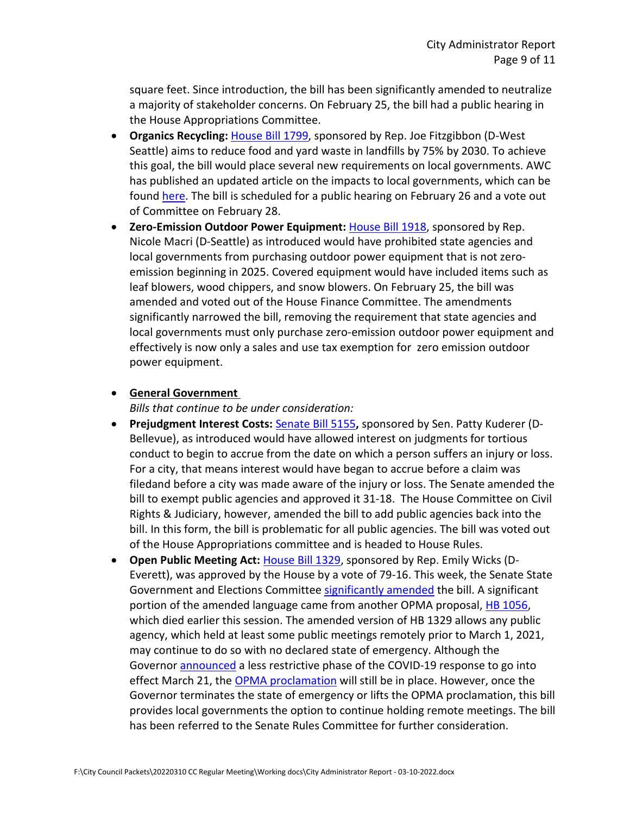square feet. Since introduction, the bill has been significantly amended to neutralize a majority of stakeholder concerns. On February 25, the bill had a public hearing in the House Appropriations Committee.

- **Organics Recycling:** [House Bill 1799,](https://app.leg.wa.gov/billsummary?BillNumber=1799&Initiative=false&Year=2021) sponsored by Rep. Joe Fitzgibbon (D-West Seattle) aims to reduce food and yard waste in landfills by 75% by 2030. To achieve this goal, the bill would place several new requirements on local governments. AWC has published an updated article on the impacts to local governments, which can be found [here.](https://wacities.org/news/2022/02/04/organics-mandate-bill-changes-and-improves-in-committee) The bill is scheduled for a public hearing on February 26 and a vote out of Committee on February 28.
- **Zero-Emission Outdoor Power Equipment:** [House Bill 1918,](https://app.leg.wa.gov/billsummary?BillNumber=1918&Year=2021&Initiative=false) sponsored by Rep. Nicole Macri (D-Seattle) as introduced would have prohibited state agencies and local governments from purchasing outdoor power equipment that is not zeroemission beginning in 2025. Covered equipment would have included items such as leaf blowers, wood chippers, and snow blowers. On February 25, the bill was amended and voted out of the House Finance Committee. The amendments significantly narrowed the bill, removing the requirement that state agencies and local governments must only purchase zero-emission outdoor power equipment and effectively is now only a sales and use tax exemption for zero emission outdoor power equipment.

#### • **General Government**

*Bills that continue to be under consideration:*

- Prejudgment Interest Costs: **[Senate Bill 5155](https://app.leg.wa.gov/billsummary?BillNumber=5155&Initiative=false&Year=2021)**, sponsored by Sen. Patty Kuderer (D-Bellevue), as introduced would have allowed interest on judgments for tortious conduct to begin to accrue from the date on which a person suffers an injury or loss. For a city, that means interest would have began to accrue before a claim was filedand before a city was made aware of the injury or loss. The Senate amended the bill to exempt public agencies and approved it 31-18. The House Committee on Civil Rights & Judiciary, however, amended the bill to add public agencies back into the bill. In this form, the bill is problematic for all public agencies. The bill was voted out of the House Appropriations committee and is headed to House Rules.
- **Open Public Meeting Act:** [House Bill 1329,](https://lawfilesext.leg.wa.gov/biennium/2021-22/Pdf/Bills/House%20Bills/1329-S.E.pdf?q=20220115123122) sponsored by Rep. Emily Wicks (D-Everett), was approved by the House by a vote of 79-16. This week, the Senate State Government and Elections Committee [significantly amended](https://app.leg.wa.gov/committeeschedules/Home/Document/244269#toolbar=0&navpanes=0) the bill. A significant portion of the amended language came from another OPMA proposal, [HB 1056,](https://app.leg.wa.gov/billsummary?BillNumber=1056&Initiative=false&Year=2021) which died earlier this session. The amended version of HB 1329 allows any public agency, which held at least some public meetings remotely prior to March 1, 2021, may continue to do so with no declared state of emergency. Although the Governor [announced](https://medium.com/wagovernor/covid-19-trends-give-leaders-confidence-to-look-towards-next-phase-of-pandemic-response-a46340dd2997) a less restrictive phase of the COVID-19 response to go into effect March 21, the [OPMA proclamation](https://www.governor.wa.gov/sites/default/files/proclamations/proc_20-28.15.pdf) will still be in place. However, once the Governor terminates the state of emergency or lifts the OPMA proclamation, this bill provides local governments the option to continue holding remote meetings. The bill has been referred to the Senate Rules Committee for further consideration.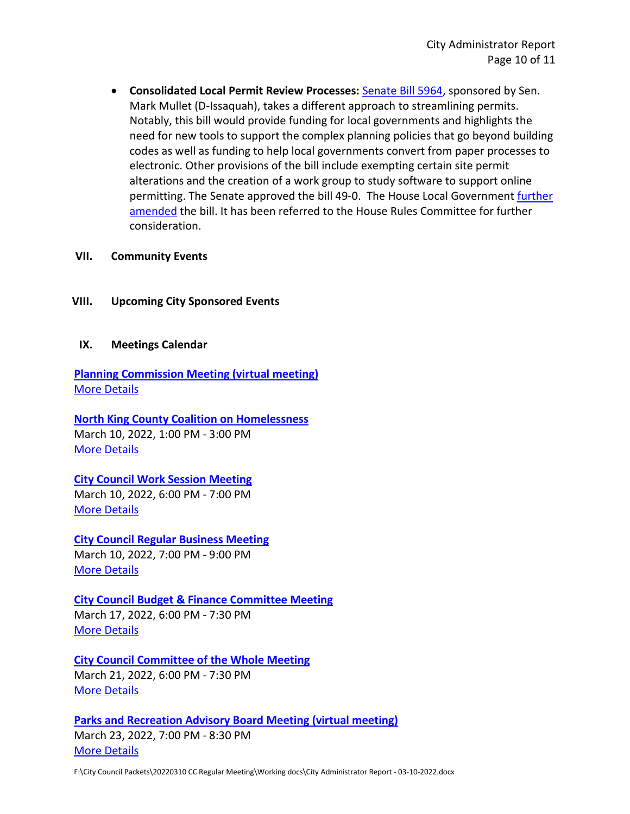• **Consolidated Local Permit Review Processes:** [Senate Bill 5964,](https://app.leg.wa.gov/billsummary?BillNumber=5964&Year=2021&Initiative=false) sponsored by Sen. Mark Mullet (D-Issaquah), takes a different approach to streamlining permits. Notably, this bill would provide funding for local governments and highlights the need for new tools to support the complex planning policies that go beyond building codes as well as funding to help local governments convert from paper processes to electronic. Other provisions of the bill include exempting certain site permit alterations and the creation of a work group to study software to support online permitting. The Senate approved the bill 49-0. The House Local Government [further](https://app.leg.wa.gov/committeeschedules/Home/Document/244521#toolbar=0&navpanes=0)  [amended](https://app.leg.wa.gov/committeeschedules/Home/Document/244521#toolbar=0&navpanes=0) the bill. It has been referred to the House Rules Committee for further consideration.

#### **VII. Community Events**

#### **VIII. Upcoming City Sponsored Events**

#### **IX. Meetings Calendar**

**[Planning Commission Meeting \(virtual meeting\)](https://www.cityoflfp.com/Calendar.aspx?EID=2290&month=3&year=2022&day=4&calType=0)** [More Details](https://www.cityoflfp.com/Calendar.aspx?EID=2290&month=3&year=2022&day=4&calType=0)

**[North King County Coalition on Homelessness](https://www.cityoflfp.com/Calendar.aspx?EID=2266&month=3&year=2022&day=4&calType=0)** March 10, 2022, 1:00 PM - 3:00 PM [More Details](https://www.cityoflfp.com/Calendar.aspx?EID=2266&month=3&year=2022&day=4&calType=0)

# **[City Council Work Session Meeting](https://www.cityoflfp.com/Calendar.aspx?EID=2182&month=3&year=2022&day=4&calType=0)**

March 10, 2022, 6:00 PM - 7:00 PM [More Details](https://www.cityoflfp.com/Calendar.aspx?EID=2182&month=3&year=2022&day=4&calType=0)

**[City Council Regular](https://www.cityoflfp.com/Calendar.aspx?EID=2194&month=3&year=2022&day=4&calType=0) Business Meeting** March 10, 2022, 7:00 PM - 9:00 PM [More Details](https://www.cityoflfp.com/Calendar.aspx?EID=2194&month=3&year=2022&day=4&calType=0)

# **[City Council Budget & Finance Committee Meeting](https://www.cityoflfp.com/Calendar.aspx?EID=2216&month=3&year=2022&day=4&calType=0)**

March 17, 2022, 6:00 PM - 7:30 PM [More Details](https://www.cityoflfp.com/Calendar.aspx?EID=2216&month=3&year=2022&day=4&calType=0)

#### **[City Council Committee of the Whole Meeting](https://www.cityoflfp.com/Calendar.aspx?EID=2227&month=3&year=2022&day=4&calType=0)** March 21, 2022, 6:00 PM - 7:30 PM [More Details](https://www.cityoflfp.com/Calendar.aspx?EID=2227&month=3&year=2022&day=4&calType=0)

# **[Parks and Recreation Advisory Board Meeting \(virtual meeting\)](https://www.cityoflfp.com/Calendar.aspx?EID=2158&month=3&year=2022&day=4&calType=0)** March 23, 2022, 7:00 PM - 8:30 PM [More Details](https://www.cityoflfp.com/Calendar.aspx?EID=2158&month=3&year=2022&day=4&calType=0)

F:\City Council Packets\20220310 CC Regular Meeting\Working docs\City Administrator Report - 03-10-2022.docx